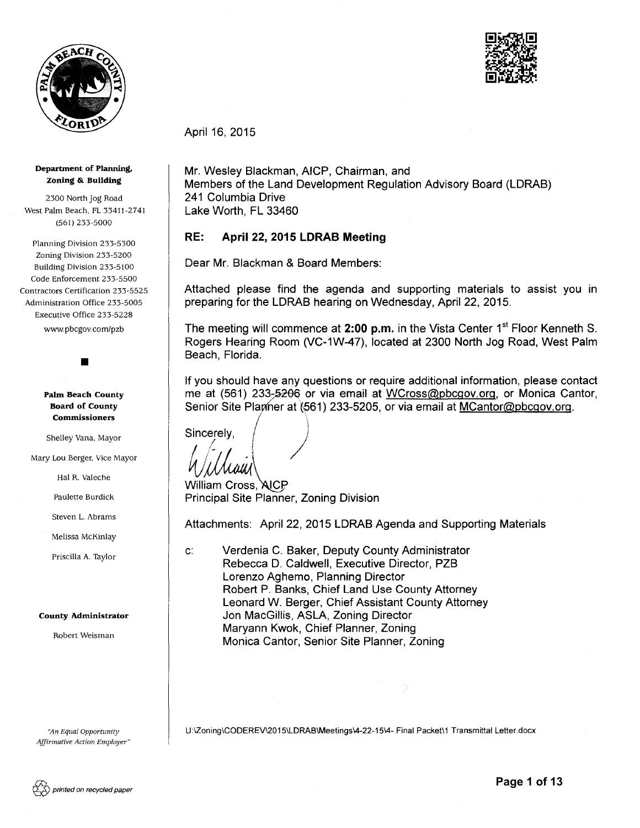



April 16, 2015 April 16, 2015<br>Mr. Wesley Blackman, AICP, Chairman, and<br>Members of the Land Development Regulation Advisory Board (LDRAB)

RE:

241 Columbia Drive Lake Worth, FL 33460

Beach, Florida.

I

 $\bullet$  In the set of  $I$  is the set of  $I$ Sincerely,  $\left( \begin{array}{ccc} & & \end{array} \right)$ 

*WWW*<br>William Cross, AICP

Willau

for  $\{ \}$ 

Principal Site Planner, Zoning Division

Mr. Wesley Blackman, AICP, Chairman, and

April 22, 2015 LDRAB Meeting

Attached please find the agenda and supporting materials to assist you in

The meeting will commence at 2:00 p.m. in the Vista Center 1<sup>st</sup> Floor Kenneth S. Rogers Hearing Room (VC-1W-47), located at 2300 North Jog Road, West Palm

If you should have any questions or require additional information, please contact me at (561) 233-5206 or via email at WCross@pbcgov.org, or Monica Cantor, Senior Site Plamer at (561) 233-5205, or via email at MCantor@pbcgov.org.

preparing for the LDRAB hearing on Wednesday, April 22, 2015.

Dear Mr. Blackman & Board Members:<br>Attached please find the agenda and supporting materials<br>preparing for the LDRAB hearing on Wednesday, April 22, 2015<br>The meeting will commence at **2:00 p.m.** in the Vista Center 1<sup>st</sup><br>Ro

Dear Mr. Blackman & Board Members:

#### Department of Planning, Zoning &. Building

2300 North Jog Road West Palm Beach, FL 33411-2741 (561) 233-5000

Planning Division 233-5300 Zoning Division 233-5200 Building Division 233-5100 Code Enforcement 233-5500 Contractors Certification 233-5525 Administration Office 233-5005 Executive Office 233-5228 Control of New York 2001 Novel School Control of New York 2001 Novel School Control of New York 2001 Novel School Control of New York 2001 Novel School Control of New York 2001 Novel School Control of New York 2001 Novel

www. pbcgov.com/pzb www.pbcgov.com/pzb

•

Palm Beach County Board of County Commissioners

Shelley Vana, Mayor

Mary Lou Berger, Vice Mayor

Hal R. Valeche

Paulette Burdick

Steven L. Abrams

Melissa McKinlay

Priscilla A. Taylor

#### County Administrator

Robert Weisman

*'A.n Equal Opportunity '/'In Affirmative Action Employer"*  U:\Zoning\CODEREV\2015\LDRAB\Meetings\4-22-15\4- Final Packet\1 Transmittal Letter.docx Attachments: April 22, 2015 LDRAB Age<br>
c: Verdenia C. Baker, Deputy Count<br>
Rebecca D. Caldwell, Executive L<br>
Lorenzo Aghemo, Planning Direct<br>
Robert P. Banks, Chief Land Use<br>
Leonard W. Berger, Chief Assista<br>
Jon MacGillis

Attachments: April 22, 2015 LDRAB Agenda and Supporting Materials

Robert P. Banks, Chief Land Use County Attorney Leonard W. Berger, Chief Assistant County Attorney

c: Verdenia C. Baker, Deputy County Administrator Rebecca D. Caldwell, Executive Director, PZB

Lorenzo Aghemo, Planning Director

Jon MacGillis, ASLA, Zoning Director Maryann Kwok, Chief Planner, Zoning Monica Cantor, Senior Site Planner, Zoning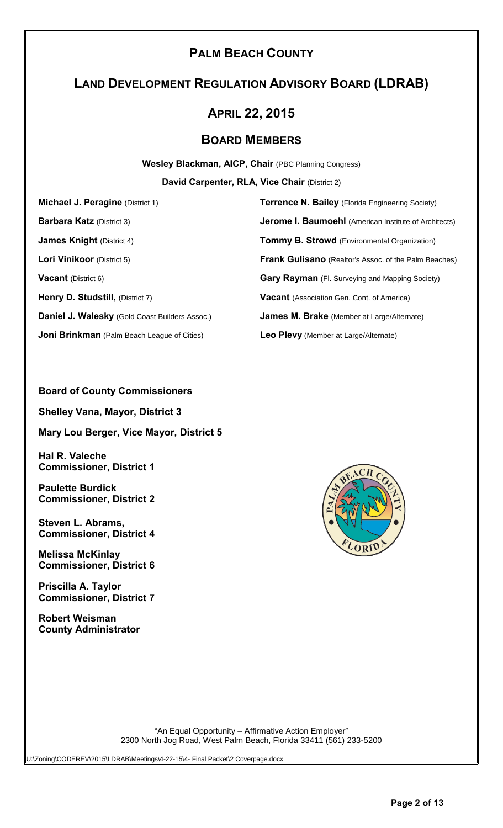# **PALM BEACH COUNTY**

# **LAND DEVELOPMENT REGULATION ADVISORY BOARD (LDRAB)**

# **APRIL 22, 2015**

# **BOARD MEMBERS**

**Wesley Blackman, AICP, Chair** (PBC Planning Congress)

**David Carpenter, RLA, Vice Chair** (District 2)

**Henry D. Studstill,** (District 7) **Vacant** (Association Gen. Cont. of America) **Daniel J. Walesky** (Gold Coast Builders Assoc.) **James M. Brake** (Member at Large/Alternate) **Joni Brinkman** (Palm Beach League of Cities) **Leo Plevy** (Member at Large/Alternate)

**Michael J. Peragine** (District 1) **Terrence N. Bailey** (Florida Engineering Society) **Barbara Katz** (District 3) **Jerome I. Baumoehl** (American Institute of Architects) **James Knight** (District 4) **Tommy B. Strowd** (Environmental Organization) **Lori Vinikoor** (District 5) **Frank Gulisano** (Realtor's Assoc. of the Palm Beaches) **Vacant** (District 6) **Gary Rayman** (Fl. Surveying and Mapping Society)

### **Board of County Commissioners**

**Shelley Vana, Mayor, District 3**

**Mary Lou Berger, Vice Mayor, District 5**

**Hal R. Valeche Commissioner, District 1**

**Paulette Burdick Commissioner, District 2**

**Steven L. Abrams, Commissioner, District 4**

**Melissa McKinlay Commissioner, District 6**

**Priscilla A. Taylor Commissioner, District 7**

**Robert Weisman County Administrator**



"An Equal Opportunity – Affirmative Action Employer" 2300 North Jog Road, West Palm Beach, Florida 33411 (561) 233-5200

U:\Zoning\CODEREV\2015\LDRAB\Meetings\4-22-15\4- Final Packet\2 Coverpage.docx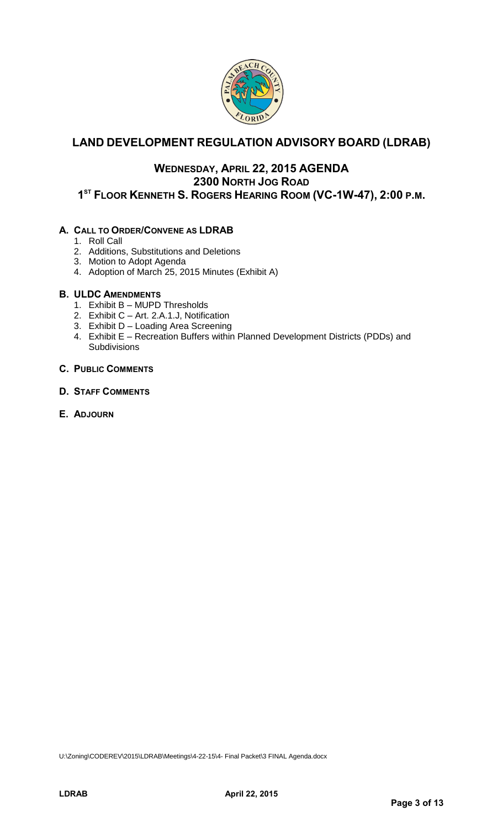

# **LAND DEVELOPMENT REGULATION ADVISORY BOARD (LDRAB)**

# **WEDNESDAY, APRIL 22, 2015 AGENDA 2300 NORTH JOG ROAD 1 ST FLOOR KENNETH S. ROGERS HEARING ROOM (VC-1W-47), 2:00 P.M.**

### **A. CALL TO ORDER/CONVENE AS LDRAB**

- 1. Roll Call
- 2. Additions, Substitutions and Deletions
- 3. Motion to Adopt Agenda
- 4. Adoption of March 25, 2015 Minutes (Exhibit A)

### **B. ULDC AMENDMENTS**

- 1. Exhibit B MUPD Thresholds
- 2. Exhibit C Art. 2.A.1.J, Notification
- 3. Exhibit D Loading Area Screening
- 4. Exhibit E Recreation Buffers within Planned Development Districts (PDDs) and **Subdivisions**

### **C. PUBLIC COMMENTS**

### **D. STAFF COMMENTS**

**E. ADJOURN**

U:\Zoning\CODEREV\2015\LDRAB\Meetings\4-22-15\4- Final Packet\3 FINAL Agenda.docx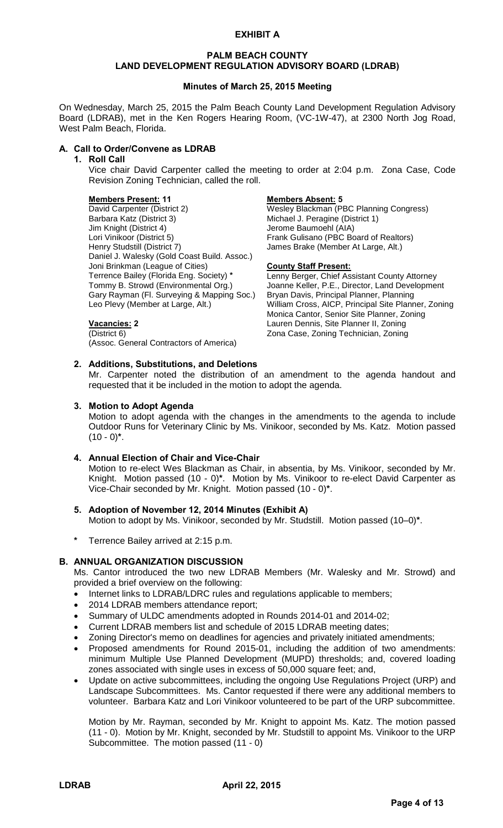#### **EXHIBIT A**

#### **PALM BEACH COUNTY LAND DEVELOPMENT REGULATION ADVISORY BOARD (LDRAB)**

#### **Minutes of March 25, 2015 Meeting**

On Wednesday, March 25, 2015 the Palm Beach County Land Development Regulation Advisory Board (LDRAB), met in the Ken Rogers Hearing Room, (VC-1W-47), at 2300 North Jog Road, West Palm Beach, Florida.

#### **A. Call to Order/Convene as LDRAB**

#### **1. Roll Call**

Vice chair David Carpenter called the meeting to order at 2:04 p.m. Zona Case, Code Revision Zoning Technician, called the roll.

Michael J. Peragine (District 1)

James Brake (Member At Large, Alt.)

Joanne Keller, P.E., Director, Land Development

Monica Cantor, Senior Site Planner, Zoning

**Members Present: 11 Members Absent: 5** David Carpenter (District 2) Wesley Blackman (PBC Planning Congress)<br>Barbara Katz (District 3) Michael J. Peragine (District 1) Jim Knight (District 4) Jerome Baumoehl (AIA)<br>Lori Vinikoor (District 5) Frank Gulisano (PBC Bo Lori Vinikoor (District 5) Frank Gulisano (PBC Board of Realtors)<br>
Henry Studstill (District 7) James Brake (Member At Large, Alt.) Daniel J. Walesky (Gold Coast Build. Assoc.) Joni Brinkman (League of Cities) **County Staff Present:**<br>Terrence Bailey (Florida Eng. Society) **\*** Lenny Berger, Chief As Terrence Bailey (Florida Eng. Society) **\*** Lenny Berger, Chief Assistant County Attorney Gary Rayman (Fl. Surveying & Mapping Soc.) Bryan Davis, Principal Planner, Planning Leo Plevy (Member at Large, Alt.) William Cross, AICP, Principal Site Planner, Zoning

### **Vacancies: 2** Lauren Dennis, Site Planner II, Zoning

(District 6) Zona Case, Zoning Technician, Zoning (Assoc. General Contractors of America)

#### **2. Additions, Substitutions, and Deletions**

Mr. Carpenter noted the distribution of an amendment to the agenda handout and requested that it be included in the motion to adopt the agenda.

#### **3. Motion to Adopt Agenda**

Motion to adopt agenda with the changes in the amendments to the agenda to include Outdoor Runs for Veterinary Clinic by Ms. Vinikoor, seconded by Ms. Katz. Motion passed (10 - 0)**\***.

#### **4. Annual Election of Chair and Vice-Chair**

Motion to re-elect Wes Blackman as Chair, in absentia, by Ms. Vinikoor, seconded by Mr. Knight. Motion passed (10 - 0)**\***. Motion by Ms. Vinikoor to re-elect David Carpenter as Vice-Chair seconded by Mr. Knight. Motion passed (10 - 0)**\***.

- **5. Adoption of November 12, 2014 Minutes (Exhibit A)** Motion to adopt by Ms. Vinikoor, seconded by Mr. Studstill. Motion passed (10–0)**\***.
- **\*** Terrence Bailey arrived at 2:15 p.m.

### **B. ANNUAL ORGANIZATION DISCUSSION**

Ms. Cantor introduced the two new LDRAB Members (Mr. Walesky and Mr. Strowd) and provided a brief overview on the following:

- Internet links to LDRAB/LDRC rules and regulations applicable to members;
- 2014 LDRAB members attendance report;
- Summary of ULDC amendments adopted in Rounds 2014-01 and 2014-02;
- Current LDRAB members list and schedule of 2015 LDRAB meeting dates;
- Zoning Director's memo on deadlines for agencies and privately initiated amendments;
- Proposed amendments for Round 2015-01, including the addition of two amendments: minimum Multiple Use Planned Development (MUPD) thresholds; and, covered loading zones associated with single uses in excess of 50,000 square feet; and,
- Update on active subcommittees, including the ongoing Use Regulations Project (URP) and Landscape Subcommittees. Ms. Cantor requested if there were any additional members to volunteer. Barbara Katz and Lori Vinikoor volunteered to be part of the URP subcommittee.

Motion by Mr. Rayman, seconded by Mr. Knight to appoint Ms. Katz. The motion passed (11 - 0). Motion by Mr. Knight, seconded by Mr. Studstill to appoint Ms. Vinikoor to the URP Subcommittee. The motion passed (11 - 0)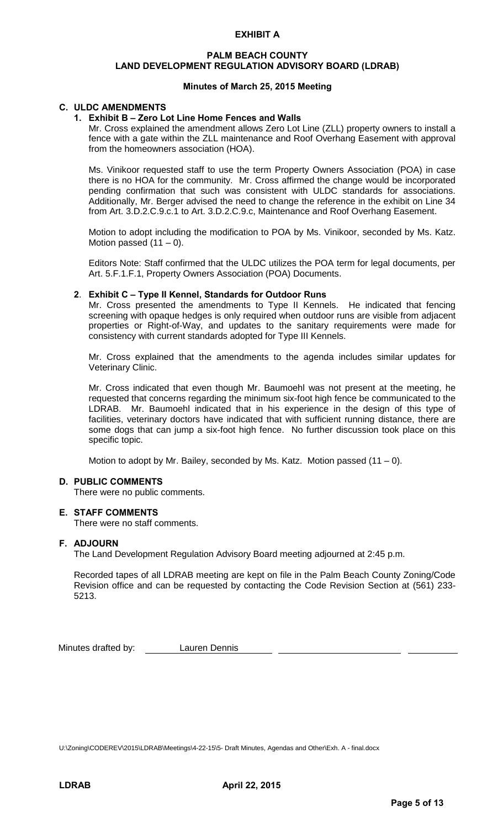#### **EXHIBIT A**

#### **PALM BEACH COUNTY LAND DEVELOPMENT REGULATION ADVISORY BOARD (LDRAB)**

#### **Minutes of March 25, 2015 Meeting**

#### **C. ULDC AMENDMENTS**

#### **1. Exhibit B – Zero Lot Line Home Fences and Walls**

Mr. Cross explained the amendment allows Zero Lot Line (ZLL) property owners to install a fence with a gate within the ZLL maintenance and Roof Overhang Easement with approval from the homeowners association (HOA).

Ms. Vinikoor requested staff to use the term Property Owners Association (POA) in case there is no HOA for the community. Mr. Cross affirmed the change would be incorporated pending confirmation that such was consistent with ULDC standards for associations. Additionally, Mr. Berger advised the need to change the reference in the exhibit on Line 34 from Art. 3.D.2.C.9.c.1 to Art. 3.D.2.C.9.c, Maintenance and Roof Overhang Easement.

Motion to adopt including the modification to POA by Ms. Vinikoor, seconded by Ms. Katz. Motion passed  $(11 – 0)$ .

Editors Note: Staff confirmed that the ULDC utilizes the POA term for legal documents, per Art. 5.F.1.F.1, Property Owners Association (POA) Documents.

#### **2**. **Exhibit C – Type II Kennel, Standards for Outdoor Runs**

Mr. Cross presented the amendments to Type II Kennels. He indicated that fencing screening with opaque hedges is only required when outdoor runs are visible from adjacent properties or Right-of-Way, and updates to the sanitary requirements were made for consistency with current standards adopted for Type III Kennels.

Mr. Cross explained that the amendments to the agenda includes similar updates for Veterinary Clinic.

Mr. Cross indicated that even though Mr. Baumoehl was not present at the meeting, he requested that concerns regarding the minimum six-foot high fence be communicated to the LDRAB. Mr. Baumoehl indicated that in his experience in the design of this type of facilities, veterinary doctors have indicated that with sufficient running distance, there are some dogs that can jump a six-foot high fence. No further discussion took place on this specific topic.

Motion to adopt by Mr. Bailey, seconded by Ms. Katz. Motion passed  $(11 - 0)$ .

#### **D. PUBLIC COMMENTS**

There were no public comments.

#### **E. STAFF COMMENTS**

There were no staff comments.

#### **F. ADJOURN**

The Land Development Regulation Advisory Board meeting adjourned at 2:45 p.m.

Recorded tapes of all LDRAB meeting are kept on file in the Palm Beach County Zoning/Code Revision office and can be requested by contacting the Code Revision Section at (561) 233- 5213.

Minutes drafted by: **Lauren Dennis** 

U:\Zoning\CODEREV\2015\LDRAB\Meetings\4-22-15\5- Draft Minutes, Agendas and Other\Exh. A - final.docx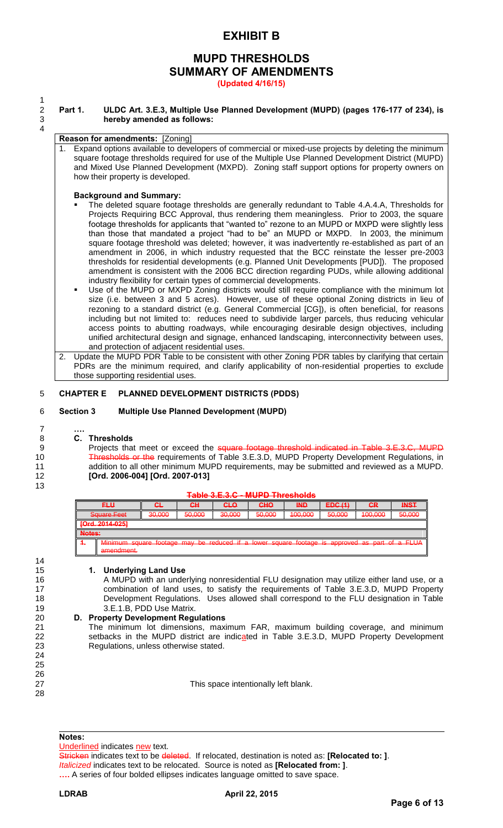# **EXHIBIT B**

# **MUPD THRESHOLDS SUMMARY OF AMENDMENTS**

**(Updated 4/16/15)**

#### 2 **Part 1. ULDC Art. 3.E.3, Multiple Use Planned Development (MUPD) (pages 176-177 of 234), is**  hereby amended as follows:

#### **Reason for amendments:** [Zoning]

Expand options available to developers of commercial or mixed-use projects by deleting the minimum square footage thresholds required for use of the Multiple Use Planned Development District (MUPD) and Mixed Use Planned Development (MXPD). Zoning staff support options for property owners on how their property is developed.

#### **Background and Summary:**

- The deleted square footage thresholds are generally redundant to Table 4.A.4.A, Thresholds for Projects Requiring BCC Approval, thus rendering them meaningless. Prior to 2003, the square footage thresholds for applicants that "wanted to" rezone to an MUPD or MXPD were slightly less than those that mandated a project "had to be" an MUPD or MXPD. In 2003, the minimum square footage threshold was deleted; however, it was inadvertently re-established as part of an amendment in 2006, in which industry requested that the BCC reinstate the lesser pre-2003 thresholds for residential developments (e.g. Planned Unit Developments [PUD]). The proposed amendment is consistent with the 2006 BCC direction regarding PUDs, while allowing additional industry flexibility for certain types of commercial developments.
- Use of the MUPD or MXPD Zoning districts would still require compliance with the minimum lot size (i.e. between 3 and 5 acres). However, use of these optional Zoning districts in lieu of rezoning to a standard district (e.g. General Commercial [CG]), is often beneficial, for reasons including but not limited to: reduces need to subdivide larger parcels, thus reducing vehicular access points to abutting roadways, while encouraging desirable design objectives, including unified architectural design and signage, enhanced landscaping, interconnectivity between uses, and protection of adjacent residential uses.
- 2. Update the MUPD PDR Table to be consistent with other Zoning PDR tables by clarifying that certain PDRs are the minimum required, and clarify applicability of non-residential properties to exclude those supporting residential uses.

#### 5 **CHAPTER E PLANNED DEVELOPMENT DISTRICTS (PDDS)**

#### 6 **Section 3 Multiple Use Planned Development (MUPD)**

#### 7 **….** 8 **C. Thresholds**

- 9 Projects that meet or exceed the square footage threshold indicated in Table 3.E.3.C, MUPD 10 Thresholds or the requirements of Table 3.E.3.D, MUPD Property Development Regulations, in 11 addition to all other minimum MUPD requirements, may be submitted and reviewed as a MUPD. 12 **[Ord. 2006-004] [Ord. 2007-013]**
- 13

14

24 25 26

28

 $\frac{1}{2}$ 

4

|                                                         |                                    |                                   |                                    | $1$ with vieit $\bullet$ in the $\bullet$ in the village of $\bullet$ |                                    |                                                     |                              |                               |                            |
|---------------------------------------------------------|------------------------------------|-----------------------------------|------------------------------------|-----------------------------------------------------------------------|------------------------------------|-----------------------------------------------------|------------------------------|-------------------------------|----------------------------|
| <b>FLU</b>                                              |                                    | GĿ                                | GН                                 | <b>CLO</b>                                                            | CHO                                | <b>IND</b>                                          | EDC(4)<br><del>EDV (1)</del> | <b>GR</b>                     | <b>INST</b>                |
| Saugro Foot<br><del>ouuare r cet</del>                  |                                    | <b>30 UUV</b><br><del>ov.vv</del> | <b>EN NOU</b><br><del>JU.UUU</del> | <b>3U UUU</b><br><del>30.000</del>                                    | <b>EO OOO</b><br><del>JU.UUU</del> | 100.000<br><del>100.000</del>                       | 50.000<br><del>JU.UUU</del>  | 100.000<br><del>100.000</del> | 50.000<br><del>uu.uu</del> |
| <b>IOrd 2014-0251</b><br><del>וט זיו דו שב. זו טו</del> |                                    |                                   |                                    |                                                                       |                                    |                                                     |                              |                               |                            |
| Notes:                                                  |                                    |                                   |                                    |                                                                       |                                    |                                                     |                              |                               |                            |
| $\mathbf{r}$                                            | amendment<br><del>amonumont.</del> | Minimum square footage may        |                                    | $\mathbf{H}$<br>ho roduced<br><del>00 10000000 1000000</del>          |                                    | lower square footage is approved as part of a FIIIA |                              |                               | $\sigma$ and $\sigma$      |

**Table 3.E.3.C - MUPD Thresholds**

 **1. Underlying Land Use**  A MUPD with an underlying nonresidential FLU designation may utilize either land use, or a combination of land uses, to satisfy the requirements of Table 3.E.3.D, MUPD Property Development Regulations. Uses allowed shall correspond to the FLU designation in Table 3.E.1.B, PDD Use Matrix.

#### 20 **D. Property Development Regulations**

21 The minimum lot dimensions, maximum FAR, maximum building coverage, and minimum 22 setbacks in the MUPD district are indicated in Table 3.E.3.D, MUPD Property Development<br>23 Reaulations unless otherwise stated. Regulations, unless otherwise stated.

27 This space intentionally left blank.

#### **Notes:**

Underlined indicates new text.

Stricken indicates text to be deleted. If relocated, destination is noted as: **[Relocated to: ]**. *Italicized* indicates text to be relocated. Source is noted as **[Relocated from: ]**. **….** A series of four bolded ellipses indicates language omitted to save space.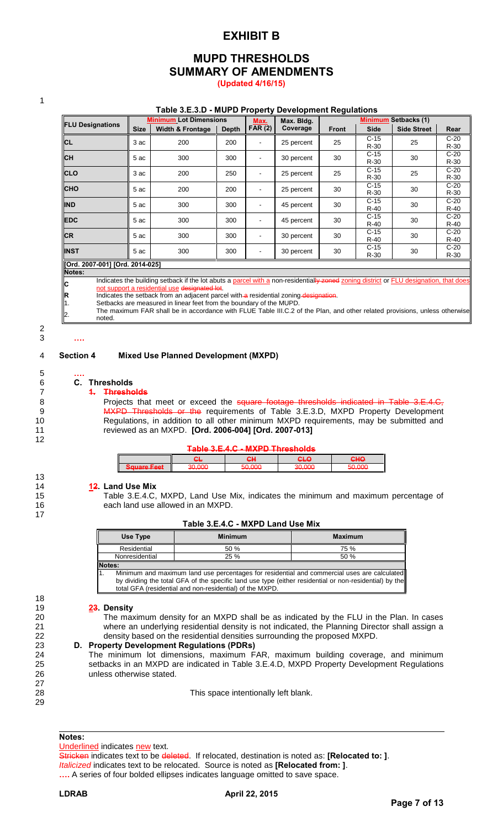## **EXHIBIT B**

### **MUPD THRESHOLDS SUMMARY OF AMENDMENTS (Updated 4/16/15)**

1

#### **Table 3.E.3.D - MUPD Property Development Regulations**

|                               |             | <b>Minimum Lot Dimensions</b> |              | Max.           | Max. Bldg. | <b>Minimum Setbacks (1)</b> |                  |                    |                  |
|-------------------------------|-------------|-------------------------------|--------------|----------------|------------|-----------------------------|------------------|--------------------|------------------|
| <b>FLU Designations</b>       | <b>Size</b> | <b>Width &amp; Frontage</b>   | <b>Depth</b> | FAR $(2)$      | Coverage   | <b>Front</b>                | <b>Side</b>      | <b>Side Street</b> | Rear             |
| <b>CL</b>                     | 3 ac        | 200                           | 200          | $\blacksquare$ | 25 percent | 25                          | $C-15$<br>$R-30$ | 25                 | $C-20$<br>$R-30$ |
| <b>CH</b>                     | 5 ac        | 300                           | 300          | $\blacksquare$ | 30 percent | 30                          | $C-15$<br>$R-30$ | 30                 | $C-20$<br>$R-30$ |
| <b>CLO</b>                    | 3 ac        | 200                           | 250          | $\blacksquare$ | 25 percent | 25                          | $C-15$<br>$R-30$ | 25                 | $C-20$<br>$R-30$ |
| <b>CHO</b>                    | 5 ac        | 200                           | 200          | ٠              | 25 percent | 30                          | $C-15$<br>$R-30$ | 30                 | $C-20$<br>$R-30$ |
| <b>IND</b>                    | 5 ac        | 300                           | 300          | $\blacksquare$ | 45 percent | 30                          | $C-15$<br>$R-40$ | 30                 | $C-20$<br>$R-40$ |
| <b>EDC</b>                    | 5 ac        | 300                           | 300          | $\blacksquare$ | 45 percent | 30                          | $C-15$<br>$R-40$ | 30                 | $C-20$<br>$R-40$ |
| <b>CR</b>                     | 5 ac        | 300                           | 300          | $\blacksquare$ | 30 percent | 30                          | $C-15$<br>$R-40$ | 30                 | $C-20$<br>$R-40$ |
| <b>INST</b>                   | 5 ac        | 300                           | 300          | $\blacksquare$ | 30 percent | 30                          | $C-15$<br>$R-30$ | 30                 | $C-20$<br>$R-30$ |
| IOrd 2007-0011 IOrd 2014-0251 |             |                               |              |                |            |                             |                  |                    |                  |

#### **[Ord. 2007-001] [Ord. 2014-025] Notes:**

Indicates the building setback if the lot abuts a parcel with a non-residentially zoned zoning district or FLU designation, that do not support a residential use designation

**R**<br> **R** Indicates the setback from an adjacent parcel with a residential zoning designation.<br>
1. Setbacks are measured in linear feet from the boundary of the MUPD. 1. Setbacks are measured in linear feet from the boundary of the MUPD.

2. The maximum FAR shall be in accordance with FLUE Table III.C.2 of the Plan, and other related provisions, unless otherwise noted.

#### 3 **….**

**C**

#### 4 **Section 4 Mixed Use Planned Development (MXPD)**

2

5 **….**

12

13

17

18

27

29

# 6 **C. Thresholds**

### 7 **1. Thresholds**

**Projects that meet or exceed the square footage thresholds indicated in Table 3.E.4.C,** 9 MXPD Thresholds or the requirements of Table 3.E.3.D, MXPD Property Development Regulations, in addition to all other minimum MXPD requirements, may be submitted and reviewed as an MXPD. **[Ord. 2006-004] [Ord. 2007-013]** 

#### **Table 3.E.4.C - MXPD Thresholds**

| I                                              | . .<br>œ | . .<br>₩.              | י יי<br>--- | ъπ⊎ |
|------------------------------------------------|----------|------------------------|-------------|-----|
| ľ<br>$\mathsf{I}$<br>auuart <del>a roc</del> t | .        | .<br><del>,,,,,,</del> | .           |     |

#### 14 **12. Land Use Mix**

15 Table 3.E.4.C, MXPD, Land Use Mix, indicates the minimum and maximum percentage of 16 each land use allowed in an MXPD.

| Table 3.E.4.C - MXPD Land Use Mix |  |  |
|-----------------------------------|--|--|
|-----------------------------------|--|--|

| Use Type       | <b>Minimum</b>                                                                                         | <b>Maximum</b> |
|----------------|--------------------------------------------------------------------------------------------------------|----------------|
| Residential    | 50%                                                                                                    | 75 %           |
| Nonresidential | $25 \%$                                                                                                | 50 %           |
| <b>Notes:</b>  |                                                                                                        |                |
|                | Minimum and maximum land use percentages for residential and commercial uses are calculated            |                |
|                | by dividing the total GFA of the specific land use type (either residential or non-residential) by the |                |
|                | total GFA (residential and non-residential) of the MXPD.                                               |                |

#### 19 **23. Density**

20 The maximum density for an MXPD shall be as indicated by the FLU in the Plan. In cases 21 where an underlying residential density is not indicated, the Planning Director shall assign a 22 density based on the residential densities surrounding the proposed MXPD.

#### 23 **D. Property Development Regulations (PDRs)**

24 The minimum lot dimensions, maximum FAR, maximum building coverage, and minimum 25 setbacks in an MXPD are indicated in Table 3.E.4.D, MXPD Property Development Regulations 26 unless otherwise stated.

28 This space intentionally left blank.

### **Notes:**

Underlined indicates new text.

Stricken indicates text to be deleted. If relocated, destination is noted as: **[Relocated to: ]**. *Italicized* indicates text to be relocated. Source is noted as **[Relocated from: ]**. **….** A series of four bolded ellipses indicates language omitted to save space.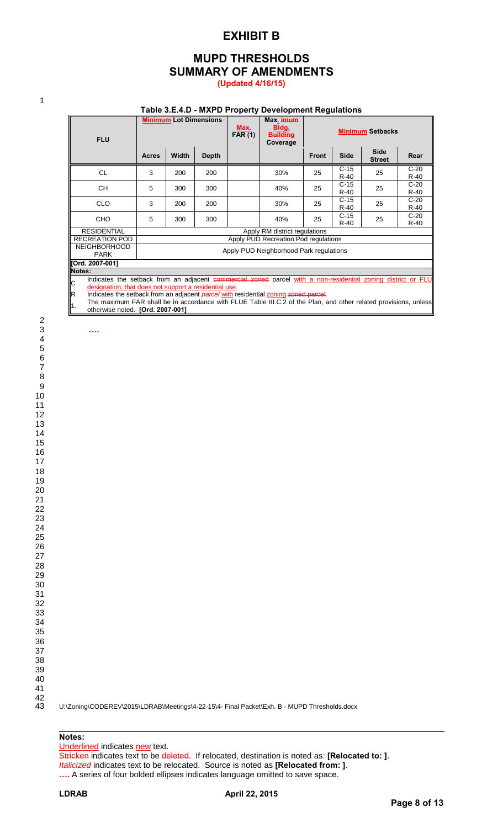### **EXHIBIT B**

### **MUPD THRESHOLDS SUMMARY OF AMENDMENTS (Updated 4/16/15)**

1

2

#### **Table 3.E.4.D - MXPD Property Development Regulations**

| <b>FLU</b>                                            |                                                                                                              | <b>Minimum Lot Dimensions</b>        |              | Max.<br><b>FAR (1)</b> | Max. imum<br>Bldg.<br><b>Building</b><br>Coverage | <b>Minimum Setbacks</b> |                  |                              |                  |
|-------------------------------------------------------|--------------------------------------------------------------------------------------------------------------|--------------------------------------|--------------|------------------------|---------------------------------------------------|-------------------------|------------------|------------------------------|------------------|
|                                                       | <b>Acres</b>                                                                                                 | Width                                | <b>Depth</b> |                        |                                                   | <b>Front</b>            | <b>Side</b>      | <b>Side</b><br><b>Street</b> | Rear             |
| <b>CL</b>                                             | 3                                                                                                            | 200                                  | 200          |                        | 30%                                               | 25                      | $C-15$<br>$R-40$ | 25                           | $C-20$<br>$R-40$ |
| <b>CH</b>                                             | 5                                                                                                            | 300                                  | 300          |                        | 40%                                               | 25                      | $C-15$<br>$R-40$ | 25                           | $C-20$<br>$R-40$ |
| <b>CLO</b>                                            | 3                                                                                                            | 200                                  | 200          |                        | 30%                                               | 25                      | $C-15$<br>$R-40$ | 25                           | $C-20$<br>$R-40$ |
| <b>CHO</b>                                            | 5                                                                                                            | 300                                  | 300          |                        | 40%                                               | 25                      | $C-15$<br>$R-40$ | 25                           | $C-20$<br>R-40   |
| <b>RESIDENTIAL</b>                                    |                                                                                                              | Apply RM district regulations        |              |                        |                                                   |                         |                  |                              |                  |
| <b>RECREATION POD</b>                                 |                                                                                                              | Apply PUD Recreation Pod regulations |              |                        |                                                   |                         |                  |                              |                  |
| <b>NEIGHBORHOOD</b><br><b>PARK</b>                    | Apply PUD Neighborhood Park regulations                                                                      |                                      |              |                        |                                                   |                         |                  |                              |                  |
| [Ord. 2007-001]                                       |                                                                                                              |                                      |              |                        |                                                   |                         |                  |                              |                  |
| Notes:                                                |                                                                                                              |                                      |              |                        |                                                   |                         |                  |                              |                  |
| Ć                                                     | Indicates the setback from an adjacent commercial zoned parcel with a non-residential zoning district or FLU |                                      |              |                        |                                                   |                         |                  |                              |                  |
| designation, that does not support a residential use. |                                                                                                              |                                      |              |                        |                                                   |                         |                  |                              |                  |
| R                                                     | Indicates the setback from an adjacent <i>parcel</i> with residential zoning zoned parcel.                   |                                      |              |                        |                                                   |                         |                  |                              |                  |

1. The maximum FAR shall be in accordance with FLUE Table III.C.2 of the Plan, and other related provisions, unless otherwise noted. **[Ord. 2007-001]**

3 **….**

U:\Zoning\CODEREV\2015\LDRAB\Meetings\4-22-15\4- Final Packet\Exh. B - MUPD Thresholds.docx

#### **Notes:**

Underlined indicates new text.

Stricken indicates text to be deleted. If relocated, destination is noted as: **[Relocated to: ]**. *Italicized* indicates text to be relocated. Source is noted as **[Relocated from: ]**. **….** A series of four bolded ellipses indicates language omitted to save space.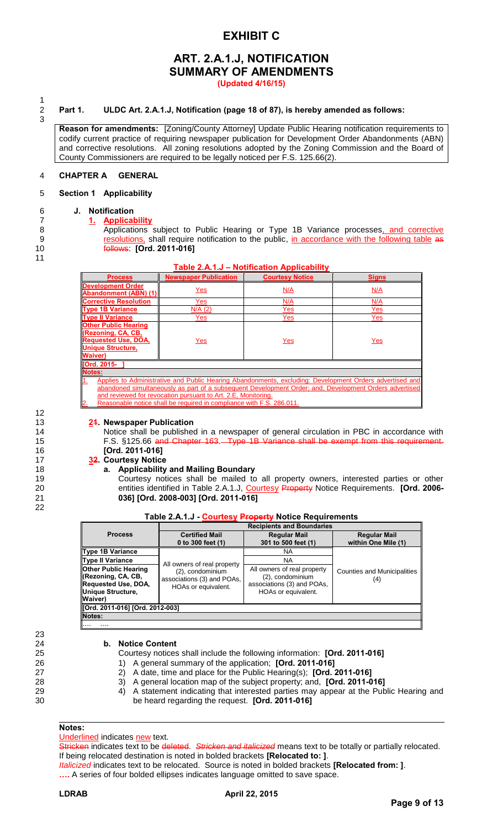# **EXHIBIT C**

# **ART. 2.A.1.J, NOTIFICATION SUMMARY OF AMENDMENTS**

**(Updated 4/16/15)**

 $\frac{1}{2}$ 3

#### 2 **Part 1. ULDC Art. 2.A.1.J, Notification (page 18 of 87), is hereby amended as follows:**

**Reason for amendments:** [Zoning/County Attorney] Update Public Hearing notification requirements to codify current practice of requiring newspaper publication for Development Order Abandonments (ABN) and corrective resolutions. All zoning resolutions adopted by the Zoning Commission and the Board of County Commissioners are required to be legally noticed per F.S. 125.66(2).

#### 4 **CHAPTER A GENERAL**

#### 5 **Section 1 Applicability**

# 6 **J. Notification**

#### 7 **1. Applicability**

- 8 Applications subject to Public Hearing or Type 1B Variance processes, and corrective
- 9 **resolutions**, shall require notification to the public, in accordance with the following table as
- 10 follows: **[Ord. 2011-016]**
- 11
- 

12

22

23

| Table 2.A.1.J – Notification Applicability |  |
|--------------------------------------------|--|

| <b>Process</b>                                                                                                                       | <b>Newspaper Publication</b>                                                                           | <b>Courtesy Notice</b> | <b>Signs</b>                                                                                            |  |  |  |  |
|--------------------------------------------------------------------------------------------------------------------------------------|--------------------------------------------------------------------------------------------------------|------------------------|---------------------------------------------------------------------------------------------------------|--|--|--|--|
| Development Order<br>Abandonment (ABN) (1)                                                                                           | Yes                                                                                                    | N/A                    | N/A                                                                                                     |  |  |  |  |
| <b>Corrective Resolution</b>                                                                                                         | Yes                                                                                                    | N/A                    | N/A                                                                                                     |  |  |  |  |
| <b>Type 1B Variance</b>                                                                                                              | N/A(2)                                                                                                 | Yes                    | Yes                                                                                                     |  |  |  |  |
| <b>Type II Variance</b>                                                                                                              | Yes                                                                                                    | Yes                    | Yes                                                                                                     |  |  |  |  |
| <b>Other Public Hearing</b><br><b>Rezoning, CA, CB,</b><br><b>Requested Use, DOA,</b><br><b>Unique Structure,</b><br><b>Waiver</b> ) | Yes                                                                                                    | Yes                    | Yes                                                                                                     |  |  |  |  |
| <b>TOrd. 2015-</b>                                                                                                                   |                                                                                                        |                        |                                                                                                         |  |  |  |  |
| <b>Notes:</b>                                                                                                                        |                                                                                                        |                        |                                                                                                         |  |  |  |  |
| 11.                                                                                                                                  |                                                                                                        |                        | Applies to Administrative and Public Hearing Abandonments, excluding: Development Orders advertised and |  |  |  |  |
|                                                                                                                                      | abandoned simultaneously as part of a subsequent Development Order; and, Development Orders advertised |                        |                                                                                                         |  |  |  |  |
|                                                                                                                                      | and reviewed for revocation pursuant to Art. 2.E. Monitoring.                                          |                        |                                                                                                         |  |  |  |  |
| $\overline{\mathbf{2}}$                                                                                                              | Reasonable notice shall be required in compliance with F.S. 286.011.                                   |                        |                                                                                                         |  |  |  |  |

#### 13 **21. Newspaper Publication**

14 Notice shall be published in a newspaper of general circulation in PBC in accordance with 15 **F.S. §125.66** and Chapter 163. Type 1B Variance shall be exempt from this requirement. 16 **[Ord. 2011-016]** 

#### 17 **32. Courtesy Notice**  18 **a. Applicability and Mailing Boundary**

19 Courtesy notices shall be mailed to all property owners, interested parties or other 20 entities identified in Table 2.A.1.J, Courtesy Property Notice Requirements. **[Ord. 2006-** 21 **036] [Ord. 2008-003] [Ord. 2011-016]**

|  | Table 2.A.1.J Courtesy Property Notice Requirements |
|--|-----------------------------------------------------|
|  |                                                     |

|                                                                                                                         | <b>Recipients and Boundaries</b>                                                                     |                                                                                                      |                                           |  |  |  |
|-------------------------------------------------------------------------------------------------------------------------|------------------------------------------------------------------------------------------------------|------------------------------------------------------------------------------------------------------|-------------------------------------------|--|--|--|
| <b>Process</b>                                                                                                          | <b>Certified Mail</b>                                                                                | <b>Regular Mail</b>                                                                                  | <b>Regular Mail</b>                       |  |  |  |
|                                                                                                                         | 0 to 300 feet (1)                                                                                    | 301 to 500 feet (1)                                                                                  | within One Mile (1)                       |  |  |  |
| <b>Type 1B Variance</b>                                                                                                 |                                                                                                      | ΝA                                                                                                   |                                           |  |  |  |
| <b>Type II Variance</b>                                                                                                 | All owners of real property<br>(2), condominium<br>associations (3) and POAs,<br>HOAs or equivalent. | <b>NA</b>                                                                                            |                                           |  |  |  |
| <b>Other Public Hearing</b><br>(Rezoning, CA, CB,<br>Requested Use, DOA,<br><b>Unique Structure,</b><br><b>Waiver</b> ) |                                                                                                      | All owners of real property<br>(2), condominium<br>associations (3) and POAs,<br>HOAs or equivalent. | <b>Counties and Municipalities</b><br>(4) |  |  |  |
| [Ord. 2011-016] [Ord. 2012-003]                                                                                         |                                                                                                      |                                                                                                      |                                           |  |  |  |
| Notes:                                                                                                                  |                                                                                                      |                                                                                                      |                                           |  |  |  |
| <br>                                                                                                                    |                                                                                                      |                                                                                                      |                                           |  |  |  |

24 **b. Notice Content** 

25 Courtesy notices shall include the following information: **[Ord. 2011-016]** 

- 26 1) A general summary of the application; **[Ord. 2011-016]**
- 27 2) A date, time and place for the Public Hearing(s); **[Ord. 2011-016]**
- 28 3) A general location map of the subject property; and, **[Ord. 2011-016]**
- 29 4) A statement indicating that interested parties may appear at the Public Hearing and 30 be heard regarding the request. **[Ord. 2011-016]**

#### **Notes:**

Underlined indicates new text.

Stricken indicates text to be deleted. *Stricken and italicized* means text to be totally or partially relocated. If being relocated destination is noted in bolded brackets **[Relocated to: ]**.

*Italicized* indicates text to be relocated. Source is noted in bolded brackets **[Relocated from: ]**. **….** A series of four bolded ellipses indicates language omitted to save space.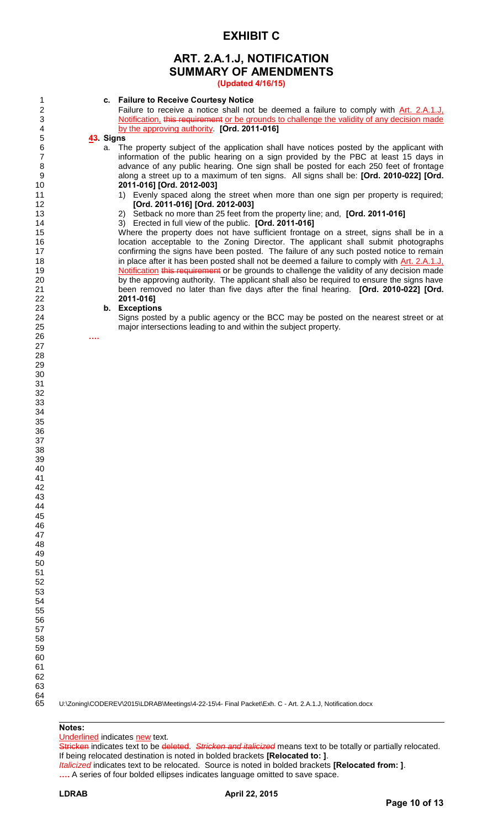### **EXHIBIT C**

# **ART. 2.A.1.J, NOTIFICATION SUMMARY OF AMENDMENTS**

**(Updated 4/16/15)**

# **c. Failure to Receive Courtesy Notice**

2 Failure to receive a notice shall not be deemed a failure to comply with Art. 2.A.1.J.<br>3 Notification, this requirement or be grounds to challenge the validity of any decision made 3 Notification, this requirement or be grounds to challenge the validity of any decision made<br>4 by the approving authority. [Ord. 2011-016] by the approving authority. **[Ord. 2011-016]** 

# **43. Signs**

a. The property subject of the application shall have notices posted by the applicant with 7 information of the public hearing on a sign provided by the PBC at least 15 days in<br>8 advance of any public hearing. One sign shall be posted for each 250 feet of frontage advance of any public hearing. One sign shall be posted for each 250 feet of frontage along a street up to a maximum of ten signs. All signs shall be: **[Ord. 2010-022] [Ord. 2011-016] [Ord. 2012-003]** 

 1) Evenly spaced along the street when more than one sign per property is required; **[Ord. 2011-016] [Ord. 2012-003]**

- 2) Setback no more than 25 feet from the property line; and, **[Ord. 2011-016]**
- 3) Erected in full view of the public. **[Ord. 2011-016]**

Where the property does not have sufficient frontage on a street, signs shall be in a **Increme location acceptable to the Zoning Director.** The applicant shall submit photographs 17 confirming the signs have been posted. The failure of any such posted notice to remain 18 in place after it has been posted shall not be deemed a failure to comply with Art. 2.A.1.J. 19 Notification this requirement or be grounds to challenge the validity of any decision made 20 by the approving authority. The applicant shall also be required to ensure the signs have been removed no later than five days after the final hearing. **[Ord. 2010-022] [Ord. 2011-016]**

# **b. Exceptions**

Signs posted by a public agency or the BCC may be posted on the nearest street or at major intersections leading to and within the subject property.

**….**

U:\Zoning\CODEREV\2015\LDRAB\Meetings\4-22-15\4- Final Packet\Exh. C - Art. 2.A.1.J, Notification.docx

### **Notes:**

Underlined indicates new text.

Stricken indicates text to be deleted. *Stricken and italicized* means text to be totally or partially relocated. If being relocated destination is noted in bolded brackets **[Relocated to: ]**. *Italicized* indicates text to be relocated. Source is noted in bolded brackets **[Relocated from: ]**. **….** A series of four bolded ellipses indicates language omitted to save space.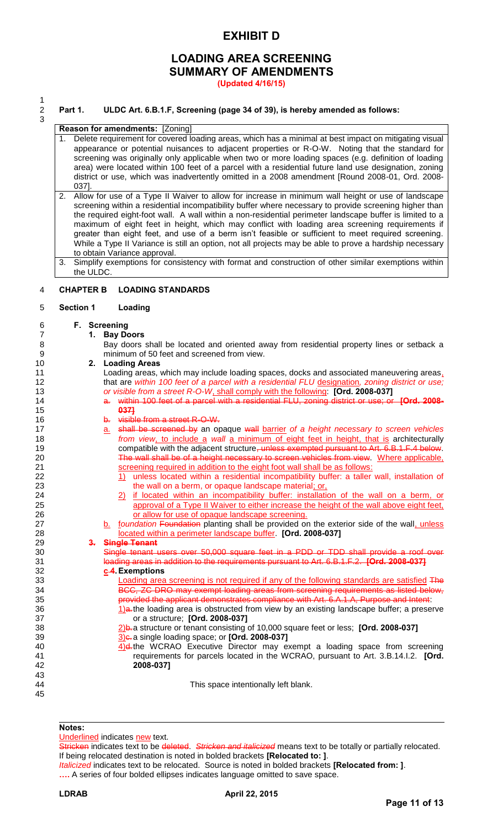## **EXHIBIT D**

# **LOADING AREA SCREENING SUMMARY OF AMENDMENTS**

**(Updated 4/16/15)** 

 $\frac{1}{2}$ 3

#### 2 **Part 1. ULDC Art. 6.B.1.F, Screening (page 34 of 39), is hereby amended as follows:**

#### **Reason for amendments:** [Zoning]

- 1. Delete requirement for covered loading areas, which has a minimal at best impact on mitigating visual appearance or potential nuisances to adjacent properties or R-O-W. Noting that the standard for screening was originally only applicable when two or more loading spaces (e.g. definition of loading area) were located within 100 feet of a parcel with a residential future land use designation, zoning district or use, which was inadvertently omitted in a 2008 amendment [Round 2008-01, Ord. 2008- 037].
- 2. Allow for use of a Type II Waiver to allow for increase in minimum wall height or use of landscape screening within a residential incompatibility buffer where necessary to provide screening higher than the required eight-foot wall. A wall within a non-residential perimeter landscape buffer is limited to a maximum of eight feet in height, which may conflict with loading area screening requirements if greater than eight feet, and use of a berm isn't feasible or sufficient to meet required screening. While a Type II Variance is still an option, not all projects may be able to prove a hardship necessary to obtain Variance approval.
- 3. Simplify exemptions for consistency with format and construction of other similar exemptions within the ULDC.

#### 4 **CHAPTER B LOADING STANDARDS**

#### 5 **Section 1 Loading**

# 6 **F. Screening**

7 **1. Bay Doors** 

8 Bay doors shall be located and oriented away from residential property lines or setback a<br>9 minimum of 50 feet and screened from view. minimum of 50 feet and screened from view.

#### 10 **2. Loading Areas**

11 Loading areas, which may include loading spaces, docks and associated maneuvering areas, 12 that are *within 100 feet of a parcel with a residential FLU* designation*, zoning district or use;*  13 *or visible from a street R-O-W*, shall comply with the following: **[Ord. 2008-037]** 

- 14 a. within 100 feet of a parcel with a residential FLU, zoning district or use; or **[Ord. 2008-** 15 **037]**
	- b. visible from a street R-O-W.
- 17 a. shall be screened by an opaque wall barrier of a height necessary to screen vehicles 18 *from view*, to include a *wall* a minimum of eight feet in height, that is architecturally 19 compatible with the adjacent structure, unless exempted pursuant to Art. 6.B.1.F.4 below. 20 The wall shall be of a height necessary to screen vehicles from view. Where applicable, 21 screening required in addition to the eight foot wall shall be as follows:
- 22 1) unless located within a residential incompatibility buffer: a taller wall, installation of 23 the wall on a berm, or opaque landscape material; or,
- 24 2) if located within an incompatibility buffer: installation of the wall on a berm, or 25 approval of a Type II Waiver to either increase the height of the wall above eight feet, 26 or allow for use of opaque landscape screening.
- 27 b. foundation Foundation planting shall be provided on the exterior side of the wall, unless 28 located within a perimeter landscape buffer. **[Ord. 2008-037]**

# 29 **3. Single Tenant**

Single tenant users over 50,000 square feet in a PDD or TDD shall provide a roof over 31 loading areas in addition to the requirements pursuant to Art. 6.B.1.F.2. **[Ord. 2008-037]** 32 **c 4. Exemptions** 

Loading area screening is not required if any of the following standards are satisfied The 34 BCC, ZC DRO may exempt loading areas from screening requirements as listed below, 35 provided the applicant demonstrates compliance with Art. 6.A.1.A, Purpose and Intent:

36 1)a. the loading area is obstructed from view by an existing landscape buffer; a preserve or a structure; **[Ord. 2008-037]** 37 or a structure; **[Ord. 2008-037]**<br>38 2) a structure or tenant consisting

38 2<u>)</u>b. a structure or tenant consisting of 10,000 square feet or less; **[Ord. 2008-037]**<br>39 3 3)c. a single loading space; or **[Ord. 2008-037]** 39 3)c. a single loading space; or **[Ord. 2008-037]** 

4)d. the WCRAO Executive Director may exempt a loading space from screening 41 requirements for parcels located in the WCRAO, pursuant to Art. 3.B.14.I.2. **[Ord.**  42 **2008-037]**

44 This space intentionally left blank.

#### **Notes:**

43

45

Underlined indicates new text.

Stricken indicates text to be deleted. *Stricken and italicized* means text to be totally or partially relocated. If being relocated destination is noted in bolded brackets **[Relocated to: ]**.

*Italicized* indicates text to be relocated. Source is noted in bolded brackets **[Relocated from: ]**. **….** A series of four bolded ellipses indicates language omitted to save space.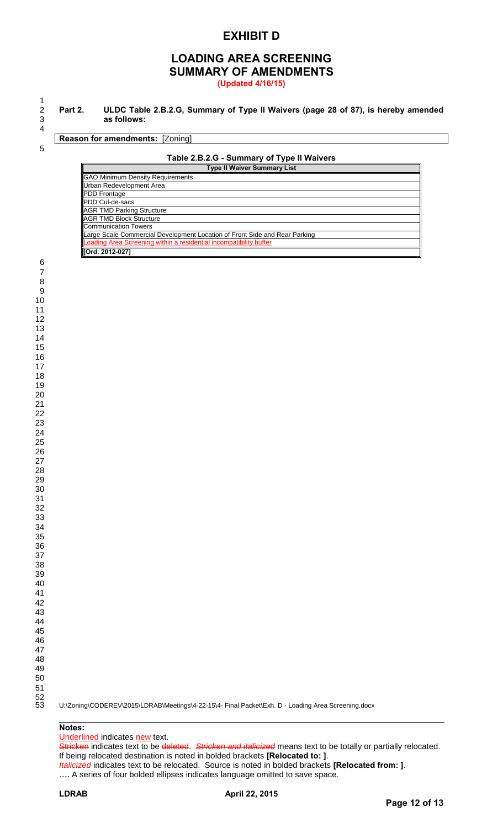### **EXHIBIT D**

### **LOADING AREA SCREENING SUMMARY OF AMENDMENTS (Updated 4/16/15)**

 $\begin{array}{c} 1 \\ 2 \\ 3 \end{array}$ 

 $\overline{\mathbb{F}}$ 

 **Part 2. ULDC Table 2.B.2.G, Summary of Type II Waivers (page 28 of 87), is hereby amended as follows:** 

**Reason for amendments: [Zoning]** 

#### **Table 2.B.2.G - Summary of Type II Waivers**

| Type II Waiver Summary List                                                |
|----------------------------------------------------------------------------|
| <b>GAO Minimum Density Requirements</b>                                    |
| Urban Redevelopment Area                                                   |
| <b>PDD</b> Frontage                                                        |
| PDD Cul-de-sacs                                                            |
| <b>AGR TMD Parking Structure</b>                                           |
| <b>IAGR TMD Block Structure</b>                                            |
| Communication Towers                                                       |
| Large Scale Commercial Development Location of Front Side and Rear Parking |
| Loading Area Screening within a residential incompatibility buffer         |
| [Ord. 2012-027]                                                            |

U:\Zoning\CODEREV\2015\LDRAB\Meetings\4-22-15\4- Final Packet\Exh. D - Loading Area Screening.docx

#### **Notes:**

Underlined indicates new text.

Stricken indicates text to be deleted. *Stricken and italicized* means text to be totally or partially relocated. If being relocated destination is noted in bolded brackets **[Relocated to: ]**. *Italicized* indicates text to be relocated. Source is noted in bolded brackets **[Relocated from: ]**. **….** A series of four bolded ellipses indicates language omitted to save space.